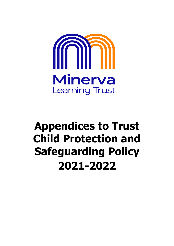

# **Appendices to Trust Child Protection and Safeguarding Policy 2021-2022**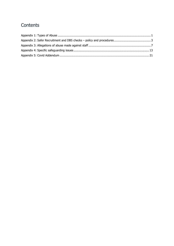# **Contents**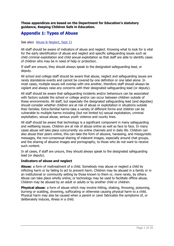**These appendices are based on the Department for Education's statutory guidance, Keeping Children Safe in Education.**

# <span id="page-2-0"></span>**Appendix 1: Types of Abuse**

See also**:** [Abuse & Neglect, Sept 21](https://www.safeguardingsheffieldchildren.org/assets/1/abuse___neglect_sept_21.pdf)

All staff should be aware of indicators of abuse and neglect. Knowing what to look for is vital for the early identification of abuse and neglect and specific safeguarding issues such as child criminal exploitation and child sexual exploitation so that staff are able to identify cases of children who may be in need of help or protection.

If staff are unsure, they should always speak to the designated safeguarding lead, or deputy.

All school and college staff should be aware that abuse, neglect and safeguarding issues are rarely standalone events and cannot be covered by one definition or one label alone. In most cases, multiple issues will overlap with one another, therefore staff should always be vigilant and always raise any concerns with their designated safeguarding lead (or deputy).

All staff should be aware that safeguarding incidents and/or behaviours can be associated with factors outside the school or college and/or can occur between children outside of these environments. All staff, but especially the designated safeguarding lead (and deputies) should consider whether children are at risk of abuse or exploitation in situations outside their families. Extra-familial harms take a variety of different forms and children can be vulnerable to multiple harms including (but not limited to) sexual exploitation, criminal exploitation, sexual abuse, serious youth violence and county lines.

All staff should be aware that technology is a significant component in many safeguarding and wellbeing issues. Children are at risk of abuse online as well as face to face. In many cases abuse will take place concurrently via online channels and in daily life. Children can also abuse their peers online, this can take the form of abusive, harassing, and misogynistic messages, the non-consensual sharing of indecent images, especially around chat groups, and the sharing of abusive images and pornography, to those who do not want to receive such content.

In all cases, if staff are unsure, they should always speak to the designated safeguarding lead (or deputy).

# **Indicators of abuse and neglect**

**Abuse**: a form of maltreatment of a child. Somebody may abuse or neglect a child by inflicting harm or by failing to act to prevent harm. Children may be abused in a family or in an institutional or community setting by those known to them or, more rarely, by others. Abuse can take place wholly online, or technology may be used to facilitate offline abuse. Children may be abused by an adult or adults or by another child or children.

**Physical abuse**: a form of abuse which may involve hitting, shaking, throwing, poisoning, burning or scalding, drowning, suffocating or otherwise causing physical harm to a child. Physical harm may also be caused when a parent or carer fabricates the symptoms of, or deliberately induces, illness in a child.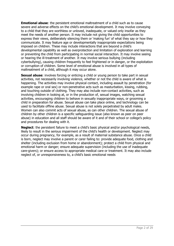**Emotional abuse**: the persistent emotional maltreatment of a child such as to cause severe and adverse effects on the child's emotional development. It may involve conveying to a child that they are worthless or unloved, inadequate, or valued only insofar as they meet the needs of another person. It may include not giving the child opportunities to express their views, deliberately silencing them or 'making fun' of what they say or how they communicate. It may feature age or developmentally inappropriate expectations being imposed on children. These may include interactions that are beyond a child's developmental capability as well as overprotection and limitation of exploration and learning or preventing the child from participating in normal social interaction. It may involve seeing or hearing the ill-treatment of another. It may involve serious bullying (including cyberbullying), causing children frequently to feel frightened or in danger, or the exploitation or corruption of children. Some level of emotional abuse is involved in all types of maltreatment of a child, although it may occur alone.

**Sexual abuse:** involves forcing or enticing a child or young person to take part in sexual activities, not necessarily involving violence, whether or not the child is aware of what is happening. The activities may involve physical contact, including assault by penetration (for example rape or oral sex) or non-penetrative acts such as masturbation, kissing, rubbing, and touching outside of clothing. They may also include non-contact activities, such as involving children in looking at, or in the production of, sexual images, watching sexual activities, encouraging children to behave in sexually inappropriate ways, or grooming a child in preparation for abuse. Sexual abuse can take place online, and technology can be used to facilitate offline abuse. Sexual abuse is not solely perpetrated by adult males. Women can also commit acts of sexual abuse, as can other children. The sexual abuse of children by other children is a specific safeguarding issue (also known as peer on peer abuse) in education and all staff should be aware of it and of their school or college's policy and procedures for dealing with it.

**Neglect**: the persistent failure to meet a child's basic physical and/or psychological needs, likely to result in the serious impairment of the child's health or development. Neglect may occur during pregnancy, for example, as a result of maternal substance abuse. Once a child is born, neglect may involve a parent or carer failing to: provide adequate food, clothing and shelter (including exclusion from home or abandonment); protect a child from physical and emotional harm or danger; ensure adequate supervision (including the use of inadequate care-givers); or ensure access to appropriate medical care or treatment. It may also include neglect of, or unresponsiveness to, a child's basic emotional needs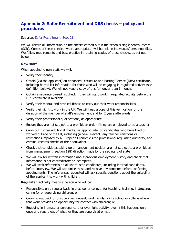# <span id="page-4-0"></span>**Appendix 2: Safer Recruitment and DBS checks – policy and procedures**

See also: [Safer Recruitment, Sept 21](https://www.safeguardingsheffieldchildren.org/assets/1/safer_recruitment_sept_21.pdf)

We will record all information on the checks carried out in the school's single central record (SCR). Copies of these checks, where appropriate, will be held in individuals' personnel files. We follow requirements and best practice in retaining copies of these checks, as set out below.

# **New staff**

When appointing new staff, we will:

- Verify their identity
- Obtain (via the applicant) an enhanced Disclosure and Barring Service (DBS) certificate, including barred list information for those who will be engaging in regulated activity (see definition below). We will not keep a copy of this for longer than 6 months
- Obtain a separate barred list check if they will start work in regulated activity before the DBS certificate is available
- Verify their mental and physical fitness to carry out their work responsibilities
- Verify their right to work in the UK. We will keep a copy of this verification for the duration of the member of staff's employment and for 2 years afterwards
- Verify their professional qualifications, as appropriate
- Ensure they are not subject to a prohibition order if they are employed to be a teacher
- Carry out further additional checks, as appropriate, on candidates who have lived or worked outside of the UK, including (where relevant) any teacher sanctions or restrictions imposed by a European Economic Area professional regulating authority, and criminal records checks or their equivalent
- Check that candidates taking up a management position are not subject to a prohibition from management (section 128) direction made by the secretary of state
- We will ask for written information about previous employment history and check that information is not contradictory or incomplete.
- We will seek references on all short-listed candidates, including internal candidates, before interview. We will scrutinise these and resolve any concerns before confirming appointments. The references requested will ask specific questions about the suitability of the applicant to work with children.

**Regulated activity** means a person who will be:

- Responsible, on a regular basis in a school or college, for teaching, training, instructing, caring for or supervising children; or
- Carrying out paid, or unsupervised unpaid, work regularly in a school or college where that work provides an opportunity for contact with children; or
- Engaging in intimate or personal care or overnight activity, even if this happens only once and regardless of whether they are supervised or not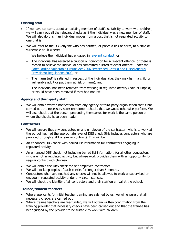# **Existing staff**

- If we have concerns about an existing member of staff's suitability to work with children, we will carry out all the relevant checks as if the individual was a new member of staff. We will also do this if an individual moves from a post that is not regulated activity to one that is.
- We will refer to the DBS anyone who has harmed, or poses a risk of harm, to a child or vulnerable adult where:
	- − We believe the individual has engaged in [relevant conduct;](about:blank#relevant-conduct-in-relation-to-children) or
	- − The individual has received a caution or conviction for a relevant offence, or there is reason to believe the individual has committed a listed relevant offence, under the [Safeguarding Vulnerable Groups Act 2006 \(Prescribed Criteria and Miscellaneous](about:blank)  [Provisions\) Regulations 2009;](about:blank) or
	- − The 'harm test' is satisfied in respect of the individual (i.e. they may harm a child or vulnerable adult or put them at risk of harm); and
	- − The individual has been removed from working in regulated activity (paid or unpaid) or would have been removed if they had not left

# **Agency and third-party staff**

• We will obtain written notification from any agency or third-party organisation that it has carried out the necessary safer recruitment checks that we would otherwise perform. We will also check that the person presenting themselves for work is the same person on whom the checks have been made.

# **Contractors**

- We will ensure that any contractor, or any employee of the contractor, who is to work at the school has had the appropriate level of DBS check (this includes contractors who are provided through a PFI or similar contract). This will be:
- An enhanced DBS check with barred list information for contractors engaging in regulated activity
- An enhanced DBS check, not including barred list information, for all other contractors who are not in regulated activity but whose work provides them with an opportunity for regular contact with children
- We will obtain the DBS check for self-employed contractors.
- We will not keep copies of such checks for longer than 6 months.
- Contractors who have not had any checks will not be allowed to work unsupervised or engage in regulated activity under any circumstances.
- We will check the identity of all contractors and their staff on arrival at the school.

# **Trainee/student teachers**

- Where applicants for initial teacher training are salaried by us, we will ensure that all necessary checks are carried out.
- Where trainee teachers are fee-funded, we will obtain written confirmation from the training provider that necessary checks have been carried out and that the trainee has been judged by the provider to be suitable to work with children.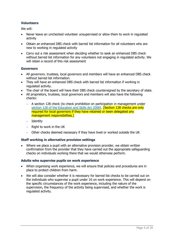# **Volunteers**

We will:

- Never leave an unchecked volunteer unsupervised or allow them to work in regulated activity
- Obtain an enhanced DBS check with barred list information for all volunteers who are new to working in regulated activity
- Carry out a risk assessment when deciding whether to seek an enhanced DBS check without barred list information for any volunteers not engaging in regulated activity. We will retain a record of this risk assessment

#### **Governors**

- All governors, trustees, local governors and members will have an enhanced DBS check without barred list information.
- They will have an enhanced DBS check with barred list information if working in regulated activity.
- The chair of the board will have their DBS check countersigned by the secretary of state.
- All proprietors, trustees, local governors and members will also have the following checks:
	- − A section 128 check (to check prohibition on participation in management under [section 128 of the Education and Skills Act 2008\)](about:blank). **[Section 128 checks are only** required for local governors if they have retained or been delegated any management responsibilities.]
	- − Identity
	- − Right to work in the UK
	- − Other checks deemed necessary if they have lived or worked outside the UK

#### **Staff working in alternative provision settings**

• Where we place a pupil with an alternative provision provider, we obtain written confirmation from the provider that they have carried out the appropriate safeguarding checks on individuals working there that we would otherwise perform.

#### **Adults who supervise pupils on work experience**

- When organising work experience, we will ensure that policies and procedures are in place to protect children from harm.
- We will also consider whether it is necessary for barred list checks to be carried out on the individuals who supervise a pupil under 16 on work experience. This will depend on the specific circumstances of the work experience, including the nature of the supervision, the frequency of the activity being supervised, and whether the work is regulated activity.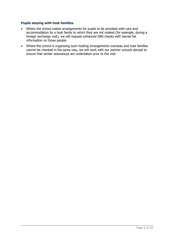# **Pupils staying with host families**

- Where the school makes arrangements for pupils to be provided with care and accommodation by a host family to which they are not related (for example, during a foreign exchange visit), we will request enhanced DBS checks with barred list information on those people.
- Where the school is organising such hosting arrangements overseas and host families cannot be checked in the same way, we will work with our partner schools abroad to ensure that similar assurances are undertaken prior to the visit.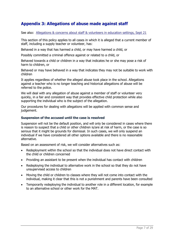# <span id="page-8-0"></span>**Appendix 3: Allegations of abuse made against staff**

See also: [Allegations & concerns about staff & volunteers in education settings, Sept 21](https://www.safeguardingsheffieldchildren.org/assets/1/allegations___concerns_about_staff___volunteers_sept_21.pdf)

This section of this policy applies to all cases in which it is alleged that a current member of staff, including a supply teacher or volunteer, has:

Behaved in a way that has harmed a child, or may have harmed a child, or

Possibly committed a criminal offence against or related to a child, or

Behaved towards a child or children in a way that indicates he or she may pose a risk of harm to children, or

Behaved or may have behaved in a way that indicates they may not be suitable to work with children

It applies regardless of whether the alleged abuse took place in the school. Allegations against a teacher who is no longer teaching and historical allegations of abuse will be referred to the police.

We will deal with any allegation of abuse against a member of staff or volunteer very quickly, in a fair and consistent way that provides effective child protection while also supporting the individual who is the subject of the allegation.

Our procedures for dealing with allegations will be applied with common sense and judgement.

#### **Suspension of the accused until the case is resolved**

Suspension will not be the default position, and will only be considered in cases where there is reason to suspect that a child or other children is/are at risk of harm, or the case is so serious that it might be grounds for dismissal. In such cases, we will only suspend an individual if we have considered all other options available and there is no reasonable alternative.

Based on an assessment of risk, we will consider alternatives such as:

- Redeployment within the school so that the individual does not have direct contact with the child or children concerned
- Providing an assistant to be present when the individual has contact with children
- Redeploying the individual to alternative work in the school so that they do not have unsupervised access to children
- Moving the child or children to classes where they will not come into contact with the individual, making it clear that this is not a punishment and parents have been consulted
- Temporarily redeploying the individual to another role in a different location, for example to an alternative school or other work for the MAT.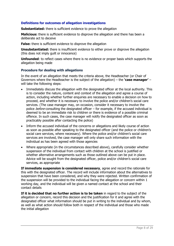# **Definitions for outcomes of allegation investigations**

**Substantiated:** there is sufficient evidence to prove the allegation

**Malicious:** there is sufficient evidence to disprove the allegation and there has been a deliberate act to deceive

**False:** there is sufficient evidence to disprove the allegation

**Unsubstantiated:** there is insufficient evidence to either prove or disprove the allegation (this does not imply guilt or innocence)

**Unfounded**: to reflect cases where there is no evidence or proper basis which supports the allegation being made

#### **Procedure for dealing with allegations**

In the event of an allegation that meets the criteria above, the Headteacher (or Chair of Governors where the Headteacher is the subject of the allegation) – the **'case manager'** – will take the following steps:

- Immediately discuss the allegation with the designated officer at the local authority. This is to consider the nature, content and context of the allegation and agree a course of action, including whether further enquiries are necessary to enable a decision on how to proceed, and whether it is necessary to involve the police and/or children's social care services. (The case manager may, on occasion, consider it necessary to involve the police *before* consulting the designated officer  $-$  for example, if the accused individual is deemed to be an immediate risk to children or there is evidence of a possible criminal offence. In such cases, the case manager will notify the designated officer as soon as practicably possible after contacting the police)
- Inform the accused individual of the concerns or allegations and likely course of action as soon as possible after speaking to the designated officer (and the police or children's social care services, where necessary). Where the police and/or children's social care services are involved, the case manager will only share such information with the individual as has been agreed with those agencies
- Where appropriate (in the circumstances described above), carefully consider whether suspension of the individual from contact with children at the school is justified or whether alternative arrangements such as those outlined above can be put in place. Advice will be sought from the designated officer, police and/or children's social care services, as appropriate

**If immediate suspension is considered necessary**, agree and record the rationale for this with the designated officer. The record will include information about the alternatives to suspension that have been considered, and why they were rejected. Written confirmation of the suspension will be provided to the individual facing the allegation or concern within 1 working day, and the individual will be given a named contact at the school and their contact details

**If it is decided that no further action is to be taken** in regard to the subject of the allegation or concern, record this decision and the justification for it and agree with the designated officer what information should be put in writing to the individual and by whom, as well as what action should follow both in respect of the individual and those who made the initial allegation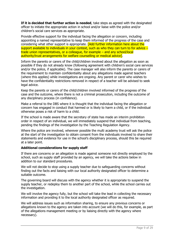**If it is decided that further action is needed**, take steps as agreed with the designated officer to initiate the appropriate action in school and/or liaise with the police and/or children's social care services as appropriate.

Provide effective support for the individual facing the allegation or concern, including appointing a named representative to keep them informed of the progress of the case and considering what other support is appropriate. [Add further information here about the support available to individuals in your context, such as who they can turn to for advice  $$ trade union representatives, or a colleague, for example – and any school/local authority/trust arrangements for welfare counselling or medical advice].

Inform the parents or carers of the child/children involved about the allegation as soon as possible if they do not already know (following agreement with children's social care services and/or the police, if applicable). The case manager will also inform the parents or carers of the requirement to maintain confidentiality about any allegations made against teachers (where this applies) while investigations are ongoing. Any parent or carer who wishes to have the confidentiality restrictions removed in respect of a teacher will be advised to seek legal advice.

Keep the parents or carers of the child/children involved informed of the progress of the case and the outcome, where there is not a criminal prosecution, including the outcome of any disciplinary process (in confidence).

Make a referral to the DBS where it is thought that the individual facing the allegation or concern has engaged in conduct that harmed or is likely to harm a child, or if the individual otherwise poses a risk of harm to a child.

If the school is made aware that the secretary of state has made an interim prohibition order in respect of an individual, we will immediately suspend that individual from teaching, pending the findings of the investigation by the Teaching Regulation Agency.

Where the police are involved, wherever possible the multi academy trust will ask the police at the start of the investigation to obtain consent from the individuals involved to share their statements and evidence for use in the school's disciplinary process, should this be required at a later point.

# **Additional considerations for supply staff**

If there are concerns or an allegation is made against someone not directly employed by the school, such as supply staff provided by an agency, we will take the actions below in addition to our standard procedures.

We will not decide to stop using a supply teacher due to safeguarding concerns without finding out the facts and liaising with our local authority designated officer to determine a suitable outcome.

The governing board will discuss with the agency whether it is appropriate to suspend the supply teacher, or redeploy them to another part of the school, while the school carries out the investigation.

We will involve the agency fully, but the school will take the lead in collecting the necessary information and providing it to the local authority designated officer as required.

We will address issues such as information sharing, to ensure any previous concerns or allegations known to the agency are taken into account (we will do this, for example, as part of the allegations management meeting or by liaising directly with the agency where necessary).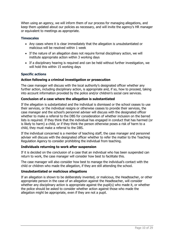When using an agency, we will inform them of our process for managing allegations, and keep them updated about our policies as necessary, and will invite the agency's HR manager or equivalent to meetings as appropriate.

# **Timescales**

- Any cases where it is clear immediately that the allegation is unsubstantiated or malicious will be resolved within 1 week
- If the nature of an allegation does not require formal disciplinary action, we will institute appropriate action within 3 working days
- If a disciplinary hearing is required and can be held without further investigation, we will hold this within 15 working days

# **Specific actions**

# **Action following a criminal investigation or prosecution**

The case manager will discuss with the local authority's designated officer whether any further action, including disciplinary action, is appropriate and, if so, how to proceed, taking into account information provided by the police and/or children's social care services.

#### **Conclusion of a case where the allegation is substantiated**

If the allegation is substantiated and the individual is dismissed or the school ceases to use their services, or the individual resigns or otherwise ceases to provide their services, the case manager and the school's personnel adviser will discuss with the designated officer whether to make a referral to the DBS for consideration of whether inclusion on the barred lists is required. If they think that the individual has engaged in conduct that has harmed (or is likely to harm) a child, or if they think the person otherwise poses a risk of harm to a child, they must make a referral to the DBS.

If the individual concerned is a member of teaching staff, the case manager and personnel adviser will discuss with the designated officer whether to refer the matter to the Teaching Regulation Agency to consider prohibiting the individual from teaching.

# **Individuals returning to work after suspension**

If it is decided on the conclusion of a case that an individual who has been suspended can return to work, the case manager will consider how best to facilitate this.

The case manager will also consider how best to manage the individual's contact with the child or children who made the allegation, if they are still attending the school.

# **Unsubstantiated or malicious allegations**

If an allegation is shown to be deliberately invented, or malicious, the Headteacher, or other appropriate person in the case of an allegation against the Headteacher, will consider whether any disciplinary action is appropriate against the pupil(s) who made it, or whether the police should be asked to consider whether action against those who made the allegation might be appropriate, even if they are not a pupil.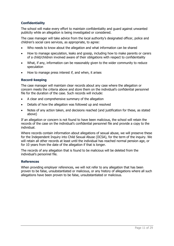# **Confidentiality**

The school will make every effort to maintain confidentiality and guard against unwanted publicity while an allegation is being investigated or considered.

The case manager will take advice from the local authority's designated officer, police and children's social care services, as appropriate, to agree:

- Who needs to know about the allegation and what information can be shared
- How to manage speculation, leaks and gossip, including how to make parents or carers of a child/children involved aware of their obligations with respect to confidentiality
- What, if any, information can be reasonably given to the wider community to reduce speculation
- How to manage press interest if, and when, it arises

# **Record-keeping**

The case manager will maintain clear records about any case where the allegation or concern meets the criteria above and store them on the individual's confidential personnel file for the duration of the case. Such records will include:

- A clear and comprehensive summary of the allegation
- Details of how the allegation was followed up and resolved
- Notes of any action taken, and decisions reached (and justification for these, as stated above)

If an allegation or concern is not found to have been malicious, the school will retain the records of the case on the individual's confidential personnel file and provide a copy to the individual.

Where records contain information about allegations of sexual abuse, we will preserve these for the Independent Inquiry into Child Sexual Abuse (IICSA), for the term of the inquiry. We will retain all other records at least until the individual has reached normal pension age, or for 10 years from the date of the allegation if that is longer.

The records of any allegation that is found to be malicious will be deleted from the individual's personnel file.

# **References**

When providing employer references, we will not refer to any allegation that has been proven to be false, unsubstantiated or malicious, or any history of allegations where all such allegations have been proven to be false, unsubstantiated or malicious.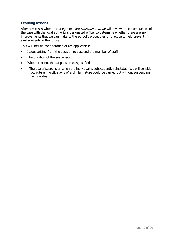# **Learning lessons**

After any cases where the allegations are *substantiated*, we will review the circumstances of the case with the local authority's designated officer to determine whether there are any improvements that we can make to the school's procedures or practice to help prevent similar events in the future.

This will include consideration of (as applicable):

- Issues arising from the decision to suspend the member of staff
- The duration of the suspension
- Whether or not the suspension was justified
- The use of suspension when the individual is subsequently reinstated. We will consider how future investigations of a similar nature could be carried out without suspending the individual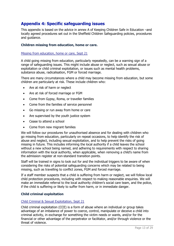# <span id="page-14-0"></span>**Appendix 4: Specific safeguarding issues**

This appendix is based on the advice in annex A of Keeping Children Safe in Education –and locally agreed procedures set out in the Sheffield Children Safeguarding policies, procedures and guidance.

#### **Children missing from education, home or care.**

#### [Missing from education, home or care, Sept 21](https://www.safeguardingsheffieldchildren.org/assets/1/missing_from_education_home_or_care_sept_21.pdf)

A child going missing from education, particularly repeatedly, can be a warning sign of a range of safeguarding issues. This might include abuse or neglect, such as sexual abuse or exploitation or child criminal exploitation, or issues such as mental health problems, substance abuse, radicalisation, FGM or forced marriage.

There are many circumstances where a child may become missing from education, but some children are particularly at risk. These include children who:

- Are at risk of harm or neglect
- Are at risk of forced marriage or FGM
- Come from Gypsy, Roma, or traveller families
- Come from the families of service personnel
- Go missing or run away from home or care
- Are supervised by the youth justice system
- Cease to attend a school
- Come from new migrant families

We will follow our procedures for unauthorised absence and for dealing with children who go missing from education, particularly on repeat occasions, to help identify the risk of abuse and neglect, including sexual exploitation, and to help prevent the risks of going missing in future. This includes informing the local authority if a child leaves the school without a new school being named, and adhering to requirements with respect to sharing information with the local authority, when applicable, when removing a child's name from the admission register at non-standard transition points.

Staff will be trained in signs to look out for and the individual triggers to be aware of when considering the risks of potential safeguarding concerns which may be related to being missing, such as travelling to conflict zones, FGM and forced marriage.

If a staff member suspects that a child is suffering from harm or neglect, we will follow local child protection procedures, including with respect to making reasonable enquiries. We will make an immediate referral to the local authority children's social care team, and the police, if the child is suffering or likely to suffer from harm, or in immediate danger.

#### **Child criminal exploitation**

#### [Child Criminal & Sexual Exploitation, Sept 21](https://www.safeguardingsheffieldchildren.org/assets/1/child_criminal___sexual_exploitation_sept_21.pdf)

Child criminal exploitation (CCE) is a form of abuse where an individual or group takes advantage of an imbalance of power to coerce, control, manipulate or deceive a child into criminal activity, in exchange for something the victim needs or wants, and/or for the financial or other advantage of the perpetrator or facilitator, and/or through violence or the threat of violence.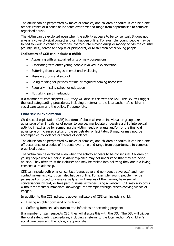The abuse can be perpetrated by males or females, and children or adults. It can be a oneoff occurrence or a series of incidents over time and range from opportunistic to complex organised abuse.

The victim can be exploited even when the activity appears to be consensual. It does not always involve physical contact and can happen online. For example, young people may be forced to work in cannabis factories, coerced into moving drugs or money across the country (county lines), forced to shoplift or pickpocket, or to threaten other young people.

# **Indicators of CCE can include a child:**

- Appearing with unexplained gifts or new possessions
- Associating with other young people involved in exploitation
- Suffering from changes in emotional wellbeing
- Misusing drugs and alcohol
- Going missing for periods of time or regularly coming home late
- Regularly missing school or education
- Not taking part in education

If a member of staff suspects CCE, they will discuss this with the DSL. The DSL will trigger the local safeguarding procedures, including a referral to the local authority's children's social care team and the police, if appropriate.

# **Child sexual exploitation**

Child sexual exploitation (CSE) is a form of abuse where an individual or group takes advantage of an imbalance of power to coerce, manipulate or deceive a child into sexual activity, in exchange for something the victim needs or wants and/or for the financial advantage or increased status of the perpetrator or facilitator. It may, or may not, be accompanied by violence or threats of violence.

The abuse can be perpetrated by males or females, and children or adults. It can be a oneoff occurrence or a series of incidents over time and range from opportunistic to complex organised abuse.

The victim can be exploited even when the activity appears to be consensual. Children or young people who are being sexually exploited may not understand that they are being abused. They often trust their abuser and may be tricked into believing they are in a loving, consensual relationship.

CSE can include both physical contact (penetrative and non-penetrative acts) and noncontact sexual activity. It can also happen online. For example, young people may be persuaded or forced to share sexually explicit images of themselves, have sexual conversations by text, or take part in sexual activities using a webcam. CSE may also occur without the victim's immediate knowledge, for example through others copying videos or images.

In addition to the CCE indicators above, indicators of CSE can include a child:

- Having an older boyfriend or girlfriend
- Suffering from sexually transmitted infections or becoming pregnant

If a member of staff suspects CSE, they will discuss this with the DSL. The DSL will trigger the local safeguarding procedures, including a referral to the local authority's children's social care team and the police, if appropriate.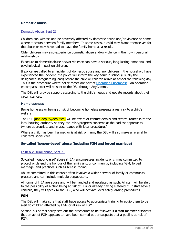# **Domestic abuse**

#### [Domestic Abuse, Sept 21](https://www.safeguardingsheffieldchildren.org/assets/1/domestic_abuse_sept_21.pdf)

Children can witness and be adversely affected by domestic abuse and/or violence at home where it occurs between family members. In some cases, a child may blame themselves for the abuse or may have had to leave the family home as a result.

Older children may also experience domestic abuse and/or violence in their own personal relationships.

Exposure to domestic abuse and/or violence can have a serious, long-lasting emotional and psychological impact on children.

If police are called to an incident of domestic abuse and any children in the household have experienced the incident, the police will inform the key adult in school (usually the designated safeguarding lead) before the child or children arrive at school the following day. This is the procedure where police forces are part of [Operation Encompass.](about:blank) An operation encompass letter will be sent to the DSL through AnyComms.

The DSL will provide support according to the child's needs and update records about their circumstances.

#### **Homelessness**

Being homeless or being at risk of becoming homeless presents a real risk to a child's welfare.

The DSL **[and deputy/deputies]** will be aware of contact details and referral routes in to the local housing authority so they can raise/progress concerns at the earliest opportunity (where appropriate and in accordance with local procedures).

Where a child has been harmed or is at risk of harm, the DSL will also make a referral to children's social care.

#### **So-called 'honour-based' abuse (including FGM and forced marriage)**

#### [Faith & cultural abuse, Sept 21](https://www.safeguardingsheffieldchildren.org/assets/1/faith___cultural_abuses_sept_21.pdf)

So-called 'honour-based' abuse (HBA) encompasses incidents or crimes committed to protect or defend the honour of the family and/or community, including FGM, forced marriage, and practices such as breast ironing.

Abuse committed in this context often involves a wider network of family or community pressure and can include multiple perpetrators.

All forms of HBA are abuse and will be handled and escalated as such. All staff will be alert to the possibility of a child being at risk of HBA or already having suffered it. If staff have a concern, they will speak to the DSL, who will activate local safeguarding procedures.

#### **FGM**

The DSL will make sure that staff have access to appropriate training to equip them to be alert to children affected by FGM or at risk of FGM.

Section 7.3 of this policy sets out the procedures to be followed if a staff member discovers that an act of FGM appears to have been carried out or suspects that a pupil is at risk of FGM.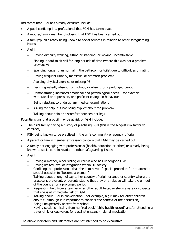Indicators that FGM has already occurred include:

- A pupil confiding in a professional that FGM has taken place
- A mother/family member disclosing that FGM has been carried out
- A family/pupil already being known to social services in relation to other safeguarding issues
- A girl:
	- − Having difficulty walking, sitting or standing, or looking uncomfortable
	- Finding it hard to sit still for long periods of time (where this was not a problem previously)
	- − Spending longer than normal in the bathroom or toilet due to difficulties urinating
	- − Having frequent urinary, menstrual or stomach problems
	- − Avoiding physical exercise or missing PE
	- − Being repeatedly absent from school, or absent for a prolonged period
	- − Demonstrating increased emotional and psychological needs for example, withdrawal or depression, or significant change in behaviour
	- − Being reluctant to undergo any medical examinations
	- − Asking for help, but not being explicit about the problem
	- − Talking about pain or discomfort between her legs

Potential signs that a pupil may be at risk of FGM include:

- The girl's family having a history of practising FGM (this is the biggest risk factor to consider)
- FGM being known to be practised in the girl's community or country of origin
- A parent or family member expressing concern that FGM may be carried out
- A family not engaging with professionals (health, education or other) or already being known to social care in relation to other safeguarding issues
- A girl:
	- − Having a mother, older sibling or cousin who has undergone FGM
	- − Having limited level of integration within UK society
	- − Confiding to a professional that she is to have a "special procedure" or to attend a special occasion to "become a woman"
	- − Talking about a long holiday to her country of origin or another country where the practice is prevalent, or parents stating that they or a relative will take the girl out of the country for a prolonged period
	- − Requesting help from a teacher or another adult because she is aware or suspects that she is at immediate risk of FGM
	- − Talking about FGM in conversation for example, a girl may tell other children about it (although it is important to consider the context of the discussion)
	- Being unexpectedly absent from school
	- − Having sections missing from her 'red book' (child health record) and/or attending a travel clinic or equivalent for vaccinations/anti-malarial medication

The above indicators and risk factors are not intended to be exhaustive.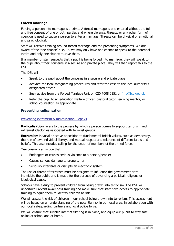# **Forced marriage**

Forcing a person into marriage is a crime. A forced marriage is one entered without the full and free consent of one or both parties and where violence, threats, or any other form of coercion is used to cause a person to enter a marriage. Threats can be physical or emotional and psychological.

Staff will receive training around forced marriage and the presenting symptoms. We are aware of the 'one chance' rule, i.e. we may only have one chance to speak to the potential victim and only one chance to save them.

If a member of staff suspects that a pupil is being forced into marriage, they will speak to the pupil about their concerns in a secure and private place. They will then report this to the DSL.

The DSL will:

- Speak to the pupil about the concerns in a secure and private place
- Activate the local safeguarding procedures and refer the case to the local authority's designated officer
- Seek advice from the Forced Marriage Unit on 020 7008 0151 or  $\frac{\text{fmu@fco.gov.uk}}{\text{fmu@fco.gov.uk}}$
- Refer the pupil to an education welfare officer, pastoral tutor, learning mentor, or school counsellor, as appropriate

# **Preventing radicalisation**

[Preventing extremism & radicalisation, Sept 21](https://www.safeguardingsheffieldchildren.org/assets/1/preventing_extremism___radicalisation_sept_21.pdf)

**Radicalisation** refers to the process by which a person comes to support terrorism and extremist ideologies associated with terrorist groups

**Extremism** is vocal or active opposition to fundamental British values, such as democracy, the rule of law, individual liberty, and mutual respect and tolerance of different faiths and beliefs. This also includes calling for the death of members of the armed forces

**Terrorism** is an action that:

- Endangers or causes serious violence to a person/people;
- Causes serious damage to property; or
- Seriously interferes or disrupts an electronic system

The use or threat of terrorism must be designed to influence the government or to intimidate the public and is made for the purpose of advancing a political, religious or ideological cause.

Schools have a duty to prevent children from being drawn into terrorism. The DSL will undertake Prevent awareness training and make sure that staff have access to appropriate training to equip them to identify children at risk.

We will assess the risk of children in our school being drawn into terrorism. This assessment will be based on an understanding of the potential risk in our local area, in collaboration with our local safeguarding partners and local police force.

We will ensure that suitable internet filtering is in place, and equip our pupils to stay safe online at school and at home.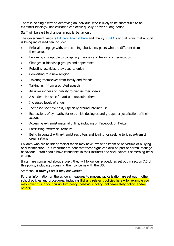There is no single way of identifying an individual who is likely to be susceptible to an extremist ideology. Radicalisation can occur quickly or over a long period.

Staff will be alert to changes in pupils' behaviour.

The government website [Educate Against Hate](about:blank) and charity [NSPCC](about:blank) say that signs that a pupil is being radicalised can include:

- Refusal to engage with, or becoming abusive to, peers who are different from themselves
- Becoming susceptible to conspiracy theories and feelings of persecution
- Changes in friendship groups and appearance
- Rejecting activities, they used to enjoy
- Converting to a new religion
- Isolating themselves from family and friends
- Talking as if from a scripted speech
- An unwillingness or inability to discuss their views
- A sudden disrespectful attitude towards others
- Increased levels of anger
- Increased secretiveness, especially around internet use
- Expressions of sympathy for extremist ideologies and groups, or justification of their actions
- Accessing extremist material online, including on Facebook or Twitter
- Possessing extremist literature
- Being in contact with extremist recruiters and joining, or seeking to join, extremist organisations

Children who are at risk of radicalisation may have low self-esteem or be victims of bullying or discrimination. It is important to note that these signs can also be part of normal teenage behaviour – staff should have confidence in their instincts and seek advice if something feels wrong.

If staff are concerned about a pupil, they will follow our procedures set out in section 7.5 of this policy, including discussing their concerns with the DSL.

Staff should **always** act if they are worried.

Further information on the school's measures to prevent radicalisation are set out in other school policies and procedures, including  $f$ list any relevant policies here – for example you may cover this in your curriculum policy, behaviour policy, online/e-safety policy, and/or others].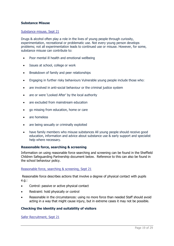# **Substance Misuse**

#### [Substance misuse, Sept 21](https://www.safeguardingsheffieldchildren.org/assets/1/substance_misuse_sept_21.pdf)

Drugs & alcohol often play a role in the lives of young people through curiosity, experimentation, recreational or problematic use. Not every young person develops problems; not all experimentation leads to continued use or misuse. However, for some, substance misuse can contribute to:

- Poor mental ill health and emotional wellbeing
- Issues at school, college or work
- Breakdown of family and peer relationships
- Engaging in further risky behaviours Vulnerable young people include those who:
- are involved in anti-social behaviour or the criminal justice system
- are or were 'Looked After' by the local authority
- are excluded from mainstream education
- go missing from education, home or care
- are homeless
- are being sexually or criminally exploited
- have family members who misuse substances All young people should receive good education, information and advice about substance use & early support and specialist help where necessary.

#### **Reasonable force, searching & screening**

Information on using reasonable force searching and screening can be found in the Sheffield Children Safeguarding Partnership document below. Reference to this can also be found in the school behaviour policy.

#### [Reasonable force, searching & screening, Sept 21](https://www.safeguardingsheffieldchildren.org/assets/1/reasonable_force_searching___screening_sept_21.pdf)

Reasonable force describes actions that involve a degree of physical contact with pupils e.g.:

- Control: passive or active physical contact
- Restraint: hold physically or control
- Reasonable in the circumstances: using no more force than needed Staff should avoid acting in a way that might cause injury, but in extreme cases it may not be possible.

#### **Checking the identity and suitability of visitors**

[Safer Recruitment, Sept 21](https://www.safeguardingsheffieldchildren.org/assets/1/safer_recruitment_sept_21.pdf)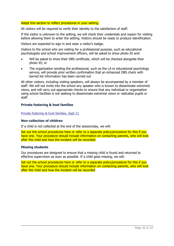#### Adapt this section to reflect procedures in your setting.

All visitors will be required to verify their identity to the satisfaction of staff.

If the visitor is unknown to the setting, we will check their credentials and reason for visiting before allowing them to enter the setting. Visitors should be ready to produce identification.

Visitors are expected to sign in and wear a visitor's badge.

Visitors to the school who are visiting for a professional purpose, such as educational psychologists and school improvement officers, will be asked to show photo ID and:

- Will be asked to show their DBS certificate, which will be checked alongside their photo ID; or
- The organisation sending the professional, such as the LA or educational psychology service, will provide prior written confirmation that an enhanced DBS check with barred list information has been carried out

All other visitors, including visiting speakers, will always be accompanied by a member of staff. We will not invite into the school any speaker who is known to disseminate extremist views, and will carry out appropriate checks to ensure that any individual or organisation using school facilities is not seeking to disseminate extremist views or radicalise pupils or staff.

#### **Private fostering & host families**

[Private fostering & host families, Sept 21](https://www.safeguardingsheffieldchildren.org/assets/1/private_fostering___host_families_sept_21.pdf)

#### **Non-collection of children**

If a child is not collected at the end of the session/day, we will:

Set out the school procedures here or refer to a separate policy/procedure for this if you have one. Your procedure should include information on contacting parents, who will look after the child and how the incident will be recorded.

#### **Missing students**

Our procedures are designed to ensure that a missing child is found and returned to effective supervision as soon as possible. If a child goes missing, we will:

Set out the school procedures here or refer to a separate policy/procedure for this if you have one. Your procedure should include information on contacting parents, who will look after the child and how the incident will be recorded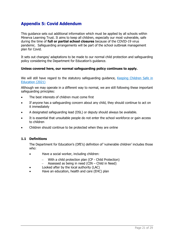# <span id="page-22-0"></span>**Appendix 5: Covid Addendum**

This guidance sets out additional information which must be applied by all schools within Minerva Learning Trust. It aims to keep all children, especially our most vulnerable, safe during the time of **full or partial school closures** because of the COVID-19 virus pandemic. Safeguarding arrangements will be part of the school outbreak management plan for Covid.

It sets out changes/ adaptations to be made to our normal child protection and safeguarding policy considering the Department for Education's guidance.

#### **Unless covered here, our normal safeguarding policy continues to apply.**

We will still have regard to the statutory safeguarding guidance, Keeping Children Safe in [Education \(2021\)](https://www.gov.uk/government/publications/keeping-children-safe-in-education--2)

Although we may operate in a different way to normal, we are still following these important safeguarding principles:

- The best interests of children must come first
- If anyone has a safeguarding concern about any child, they should continue to act on it immediately
- A designated safeguarding lead (DSL) or deputy should always be available.
- It is essential that unsuitable people do not enter the school workforce or gain access to children
- Children should continue to be protected when they are online

# **1.1 Definitions**

The Department for Education's (DfE's) definition of 'vulnerable children' includes those who:

- Have a social worker, including children:
	- − With a child protection plan (CP Child Protection)
	- − Assessed as being in need (CIN Child in Need)
	- Looked after by the local authority (LAC)
- Have an education, health and care (EHC) plan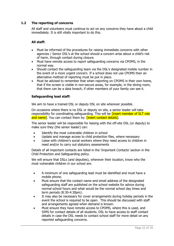# **1.2 The reporting of concerns**

All staff and volunteers must continue to act on any concerns they have about a child immediately. It is still vitally important to do this.

# **All staff:**

- Must be informed of the procedures for raising immediate concerns with other agencies / Senior DSL's at the school should a concern arise about a child's risk of harm, through contact during closure.
- Must have remote access to report safeguarding concerns via CPOMS, in the normal way.
- Should contact the safeguarding team via the DSL's designated mobile number in the event of a more urgent concern. If a school does not use CPOMS then an alternative method of reporting must be put in place.
- Must be advised to remember that when reporting on CPOMS in their own home, that if the screen is visible in non-secure areas, for example, in the dining room, that there can be a data breach, if other members of your family can see it.

# **Safeguarding lead staff:**

We aim to have a trained DSL or deputy DSL on site wherever possible.

On occasions where there is no DSL or deputy on site, a senior leader will take responsibility for coordinating safeguarding. This will be **[insert member of SLT role** and name]. You can contact them by: *[insert contact details]*.

The senior leader will be responsible for liaising with the off-site DSL (or deputy) to make sure they (the senior leader) can:

- Identify the most vulnerable children in school
- Update and manage access to child protection files, where necessary
- Liaise with children's social workers where they need access to children in need and/or to carry out statutory assessments

Details of all important contacts are listed in the 'Important Contacts' section in the Child Protection and Safeguarding policy.

We will ensure that DSLs (and deputies), wherever their location, know who the most vulnerable children in our school are.

- A minimum of one safeguarding lead must be identified and must have a mobile phone.
- Must ensure that the contact name and email address of the designated safeguarding staff are published on the school website for advice during normal school hours and what would be the normal school day times and term periods (8:30-4:30pm).
- It may also be necessary for cover arrangements during holiday periods in the event the school is required to be open. This should be discussed with staff and arrangements agreed when demand is known.
- Must ensure they have remote access to CPOMS, where this is used, and SIMS for contact details of all students. DSL to have access to staff contact details in case the DSL needs to contact school staff for more detail on any reported safeguarding concerns.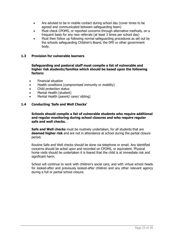- Are advised to be in mobile contact during school day (cover times to be agreed and communicated between safeguarding team)
- Must check CPOMS, or reported concerns through alternative methods, on a frequent basis for any new referrals (at least 3 times per school day)
- Must then follow up following normal safeguarding procedures as set out by the schools safeguarding Children's Board, the DFE or other government body.

# **1.3 Provision for vulnerable learners**

**Safeguarding and pastoral staff must compile a list of vulnerable and higher risk students/families which should be based upon the following factors:**

- Financial situation
- Health conditions (compromised immunity or mobility)
- Child protection status
- Mental Health (student)
- Mental Health (parent/ carer/ sibling)

#### **1.4 Conducting 'Safe and Well Checks'**

**Schools should compile a list of vulnerable students who require additional and regular monitoring during school closures and who require regular safe and well checks.** 

**Safe and Well checks** must be routinely undertaken, for all students that are **deemed higher risk** and are not in attendance at school during the partial closure period.

Routine Safe and Well checks should be done via telephone or email. Any identified concerns should be acted upon and recorded on CPOMS, or equivalent. Physical home visits should be undertaken it is feared that the child is at immediate risk and significant harm.

School will continue to work with children's social care, and with virtual school heads for looked-after and previously looked-after children and any other relevant agency during a full or partial school closure.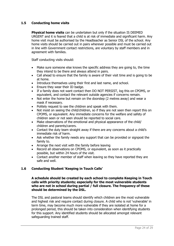# **1.5 Conducting home visits**

**Physical home visits** can be undertaken but only if the situation IS DEEMED URGENT and it is feared that a child is at risk of immediate and significant harm. Any home visit must be authorised by the Headteacher as Senior DSL of the school. Any home visits should be carried out in pairs wherever possible and must be carried out in line with Government contact restrictions, are voluntary by staff members and in agreement with families.

Staff conducting visits should:

- Make sure someone else knows the specific address they are going to, the time they intend to be there and always attend in pairs.
- Call ahead to ensure that the family is aware of their visit time and is going to be at home.
- Introduce themselves using their first and last name, and school.
- Ensure they wear their ID badge.
- If a family does not want contact then DO NOT PERSIST, log this on CPOMS, or equivalent, and contact the relevant outside agencies if concerns remain.
- Not enter the home but remain on the doorstep (2 metres away) and wear a mask if necessary.
- Politely request to see the children and speak with them.
- Not insist on seeing the child/children, so if they are not seen then report this on CPOMS, or equivalent. Any immediate concerns for the welfare and safety of children seen or not seen should be reported to social care.
- Make observations of the emotional and physical appearance of the child/ children and parents/carers.
- Contact the duty team straight away if there are any concerns about a child's immediate risk of harm.
- Ask whether the family needs any support that can be provided or signpost the family to.
- Arrange the next visit with the family before leaving
- Record all observations on CPOMS, or equivalent, as soon as it practically possible, but within 24 hours of the visit.
- Contact another member of staff when leaving so they have reported they are safe and well.

# **1.6 Conducting Student 'Keeping in Touch Calls'**

#### **A schedule should be created by each school to complete Keeping in Touch calls with priority students; especially for the most vulnerable students who are not in school during partial / full closure. The frequency of these should be determined by the DSL.**

The DSL and pastoral teams should identify which children are the most vulnerable and highest risk and require contact during closure. A child who is not 'vulnerable' in term time, may become much more vulnerable if they are isolated at home for a prolonged period, this should be taken into consideration when identifying students for this support. Any identified students should be allocated amongst relevant safeguarding trained staff.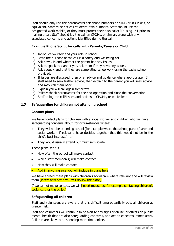Staff should only use the parent/carer telephone numbers on SIMS or in CPOMs, or equivalent. Staff must not call students' own numbers. Staff should use the designated work mobile, or they must protect their own caller ID using 141 prior to making a call. Staff should log the call on CPOMs, or similar, along with any associated concerns and actions identified during the call.

# **Example Phone Script for calls with Parents/Carers or Child:**

- a) Introduce yourself and your role in school.
- b) State the purpose of the call is a safety and wellbeing call.
- c) Ask how x is and whether the parent has any issues.
- d) Ask to speak to x and if yes, ask them if they have any issues.
- e) Ask about x and that they are completing schoolwork using the packs school provided.
- f) If issues are discussed, then offer advice and guidance where appropriate. If staff need to seek further advice, then explain to the parent you will seek advice and may call them back.
- g) Explain you will call again tomorrow.
- h) Politely thank parent/carer for their co-operation and close the conversation.
- i) Staff to log the call/issues and actions in CPOMs, or equivalent.

#### **1.7 Safeguarding for children not attending school**

#### **Contact plans**

We have contact plans for children with a social worker and children who we have safeguarding concerns about, for circumstances where:

- They will not be attending school (for example where the school, parent/carer and social worker, if relevant, have decided together that this would not be in the child's best interests); or
- They would usually attend but must self-isolate

These plans set out:

- How often the school will make contact
- Which staff member(s) will make contact
- How they will make contact
- Add in anything else you will include in plans here

We have agreed these plans with children's social care where relevant and will review them **[insert how often you will review the plans]**.

If we cannot make contact, we will **finsert measures, for example contacting children's** social care or the police].

#### **Safeguarding all children**

Staff and volunteers are aware that this difficult time potentially puts all children at greater risk.

Staff and volunteers will continue to be alert to any signs of abuse, or effects on pupils' mental health that are also safeguarding concerns, and act on concerns immediately. Children are likely to be spending more time online.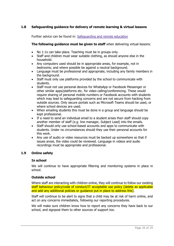# **1.8 Safeguarding guidance for delivery of remote learning & virtual lessons**

Further advice can be found in: [Safeguarding](https://www.gov.uk/guidance/safeguarding-and-remote-education-during-coronavirus-covid-19) and remote education

#### **The following guidance must be given to staff** when delivering virtual lessons:

- No 1:1s can take place. Teaching must be in groups only.
- Staff and children must wear suitable clothing, as should anyone else in the household.
- Any computers used should be in appropriate areas, for example, not in bedrooms; and where possible be against a neutral background.
- Language must be professional and appropriate, including any family members in the background.
- Staff must only use platforms provided by the school to communicate with students.
- Staff must not use personal devices for WhatsApp or Facebook Messenger or other similar apps/platforms etc. for video calling/conferencing. These would require sharing of personal mobile numbers or Facebook accounts with students which may lead to safeguarding concerns and are not secure from hacking from outside sources. Only secure portals such as Microsoft Teams should be used, or where school devices are used.
- When emailing students this must be done in a group and language should be kept professional.
- If a need to send an individual email to a student arises then staff should copy another member of staff (e.g. line manager, Subject Lead) into the emails.
- Staff should only use school-based accounts and apps to communicate with students. Under no circumstances should they use their personal accounts for this work.
- Any use of audio or video resources must be backed up somewhere so that if issues arose, the video could be reviewed. Language in videos and audio recordings must be appropriate and professional.

#### **1.9 Online safety**

#### **In school**

We will continue to have appropriate filtering and monitoring systems in place in school.

#### **Outside school**

Where staff are interacting with children online, they will continue to follow our existing staff behaviour policy/code of conduct/IT acceptable use policy [delete as applicable and add any additional policies or guidance put in place to address this].

Staff will continue to be alert to signs that a child may be at risk of harm online, and act on any concerns immediately, following our reporting procedures.

We will make sure children know how to report any concerns they have back to our school, and signpost them to other sources of support too.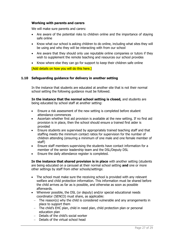# **Working with parents and carers**

We will make sure parents and carers:

- Are aware of the potential risks to children online and the importance of staying safe online
- Know what our school is asking children to do online, including what sites they will be using and who they will be interacting with from our school
- Are aware that they should only use reputable online companies or tutors if they wish to supplement the remote teaching and resources our school provides
- Know where else they can go for support to keep their children safe online

[Add details on how you will do this here.]

#### **1.10 Safeguarding guidance for delivery in another setting**

In the instance that students are educated at another site that is not their normal school setting the following guidance must be followed.

**In the instance that the normal school setting is closed,** and students are being educated by school staff at another setting:

- Ensure a risk assessment of the new setting is completed before student attendance commences
- Ascertain whether first aid provision is available at the new setting. If no first aid provision is in place, then the school should ensure a trained first aider is provided
- Ensure students are supervised by appropriately trained teaching staff and that staffing meets the minimum contact ratios for supervision for the number of children attending (ensuring a minimum of one male and one female member of staff)
- Ensure staff members supervising the students have contact information for a member of the senior leadership team and the DSL/Deputy DSL
- Ensure the daily attendance register is completed.

**In the instance that shared provision is in place** with another setting (students are being educated on a carousel at their normal school setting **and** one or more other settings by staff from other schools/settings:

- The school must make sure the receiving school is provided with any relevant welfare and child protection information. This information must be shared before the child arrives as far as is possible, and otherwise as soon as possible afterwards.
- Wherever possible, the DSL (or deputy) and/or special educational needs coordinator (SENCO) must share, as applicable:
	- − The reason(s) why the child is considered vulnerable and any arrangements in place to support them
	- − The child's EHC plan, child in need plan, child protection plan or personal education plan
	- − Details of the child's social worker
	- − Details of the virtual school head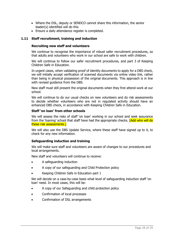- Where the DSL, deputy or SENDCO cannot share this information, the senior leader(s) identified will do this
- Ensure a daily attendance register is completed.

#### **1.11 Staff recruitment, training and induction**

#### **Recruiting new staff and volunteers**

We continue to recognise the importance of robust safer recruitment procedures, so that adults and volunteers who work in our school are safe to work with children.

We will continue to follow our safer recruitment procedures, and part 3 of Keeping Children Safe in Education.

In urgent cases, when validating proof of identity documents to apply for a DBS check, we will initially accept verification of scanned documents via online video link, rather than being in physical possession of the original documents. This approach is in line with revised quidance from the DBS.

New staff must still present the original documents when they first attend work at our school.

We will continue to do our usual checks on new volunteers and do risk assessments to decide whether volunteers who are not in regulated activity should have an enhanced DBS check, in accordance with Keeping Children Safe in Education.

#### **Staff 'on loan' from other schools**

We will assess the risks of staff 'on loan' working in our school and seek assurance from the 'loaning' school that staff have had the appropriate checks. [Add who will do these risk assessments.]

We will also use the DBS Update Service, where these staff have signed up to it, to check for any new information.

#### **Safeguarding induction and training**

We will make sure staff and volunteers are aware of changes to our procedures and local arrangements.

New staff and volunteers will continue to receive:

- A safeguarding induction
- A copy of our safeguarding and Child Protection policy
- Keeping Children Safe in Education part 1

We will decide on a case-by-case basis what level of safeguarding induction staff 'on loan' need. In most cases, this will be:

- A copy of our Safeguarding and child protection policy
- Confirmation of local processes
- Confirmation of DSL arrangements